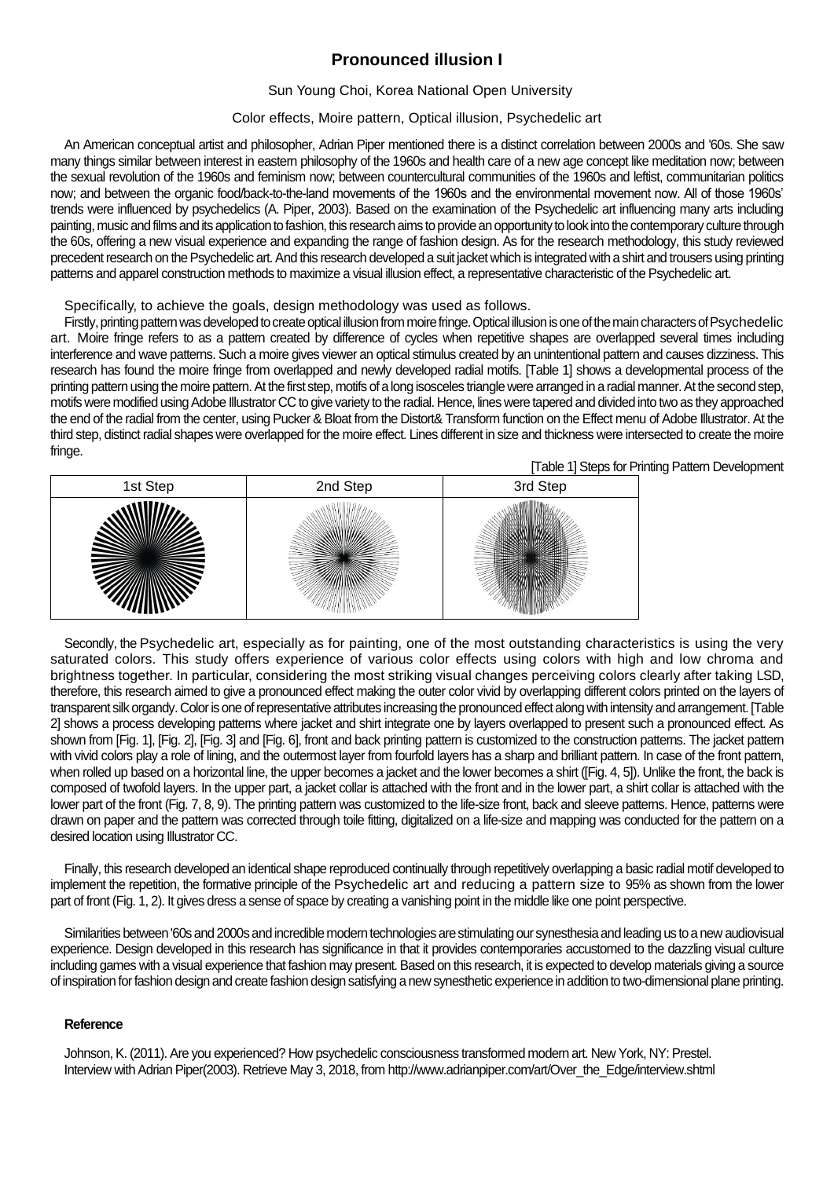# **Pronounced illusion I**

### Sun Young Choi, Korea National Open University

### Color effects, Moire pattern, Optical illusion, Psychedelic art

An American conceptual artist and philosopher, Adrian Piper mentioned there is a distinct correlation between 2000s and '60s. She saw many things similar between interest in eastern philosophy of the 1960s and health care of a new age concept like meditation now; between the sexual revolution of the 1960s and feminism now; between countercultural communities of the 1960s and leftist, communitarian politics now; and between the organic food/back-to-the-land movements of the 1960s and the environmental movement now. All of those 1960s' trends were influenced by psychedelics (A. Piper, 2003). Based on the examination of the Psychedelic art influencing many arts including painting, music and films and its application to fashion, this research aims to provide an opportunity to look into the contemporary culture through the 60s, offering a new visual experience and expanding the range of fashion design. As for the research methodology, this study reviewed precedent research on the Psychedelic art. And this research developed a suit jacket which is integrated with a shirt and trousers using printing patterns and apparel construction methods to maximize a visual illusion effect, a representative characteristic of the Psychedelic art.

Specifically, to achieve the goals, design methodology was used as follows.

Firstly, printing pattern was developed to create optical illusion from moire fringe. Optical illusion is one of the main characters of Psychedelic art. Moire fringe refers to as a pattern created by difference of cycles when repetitive shapes are overlapped several times including interference and wave patterns. Such a moire gives viewer an optical stimulus created by an unintentional pattern and causes dizziness. This research has found the moire fringe from overlapped and newly developed radial motifs. [Table 1] shows a developmental process of the printing pattern using the moire pattern. At the first step, motifs of a long isosceles triangle were arranged in a radial manner. At the second step, motifs were modified using Adobe Illustrator CC to give variety to the radial. Hence, lines were tapered and divided into two as they approached the end of the radial from the center, using Pucker & Bloat from the Distort& Transform function on the Effect menu of Adobe Illustrator. At the third step, distinct radial shapes were overlapped for the moire effect. Lines different in size and thickness were intersected to create the moire fringe.

| ີ<br>[Table 1] Steps for Printing Pattern Development |          |          |  |
|-------------------------------------------------------|----------|----------|--|
| 1st Step                                              | 2nd Step | 3rd Step |  |
|                                                       |          |          |  |

Secondly, the Psychedelic art, especially as for painting, one of the most outstanding characteristics is using the very saturated colors. This study offers experience of various color effects using colors with high and low chroma and brightness together. In particular, considering the most striking visual changes perceiving colors clearly after taking LSD, therefore, this research aimed to give a pronounced effect making the outer color vivid by overlapping different colors printed on the layers of transparent silk organdy. Color is one of representative attributes increasing the pronounced effect along with intensity and arrangement. [Table 2] shows a process developing patterns where jacket and shirt integrate one by layers overlapped to present such a pronounced effect. As shown from [Fig. 1], [Fig. 2], [Fig. 3] and [Fig. 6], front and back printing pattern is customized to the construction patterns. The jacket pattern with vivid colors play a role of lining, and the outermost layer from fourfold layers has a sharp and brilliant pattern. In case of the front pattern, when rolled up based on a horizontal line, the upper becomes a jacket and the lower becomes a shirt ([Fig. 4, 5]). Unlike the front, the back is composed of twofold layers. In the upper part, a jacket collar is attached with the front and in the lower part, a shirt collar is attached with the lower part of the front (Fig. 7, 8, 9). The printing pattern was customized to the life-size front, back and sleeve patterns. Hence, patterns were drawn on paper and the pattern was corrected through toile fitting, digitalized on a life-size and mapping was conducted for the pattern on a desired location using Illustrator CC.

Finally, this research developed an identical shape reproduced continually through repetitively overlapping a basic radial motif developed to implement the repetition, the formative principle of the Psychedelic art and reducing a pattern size to 95% as shown from the lower part of front (Fig. 1, 2). It gives dress a sense of space by creating a vanishing point in the middle like one point perspective.

Similarities between '60s and 2000s and incredible modern technologies are stimulating our synesthesia and leading us to a new audiovisual experience. Design developed in this research has significance in that it provides contemporaries accustomed to the dazzling visual culture including games with a visual experience that fashion may present. Based on this research, it is expected to develop materials giving a source of inspiration for fashion design and create fashion design satisfying a new synesthetic experience in addition to two-dimensional plane printing.

#### **Reference**

Johnson, K. (2011). Are you experienced? How psychedelic consciousness transformed modern art. New York, NY: Prestel. Interview with Adrian Piper(2003). Retrieve May 3, 2018, from http://www.adrianpiper.com/art/Over\_the\_Edge/interview.shtml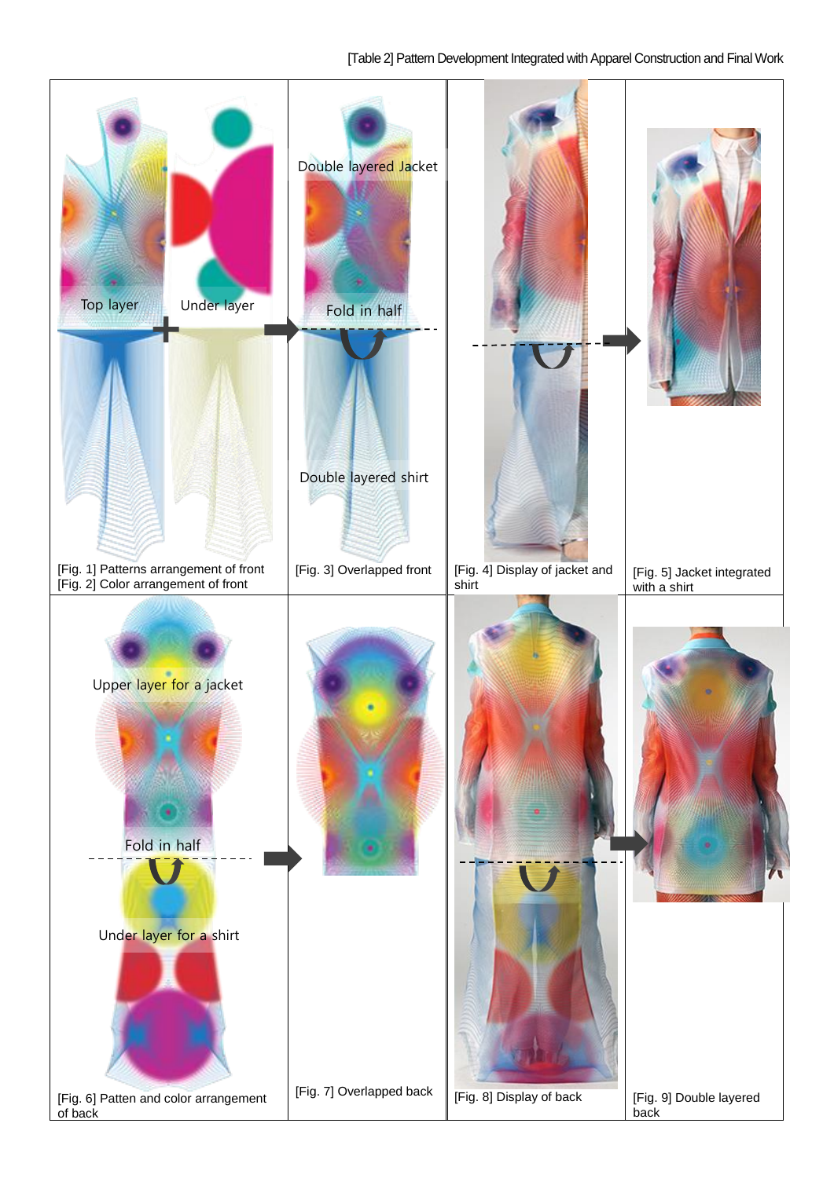## [Table 2] Pattern Development Integrated with Apparel Construction and Final Work